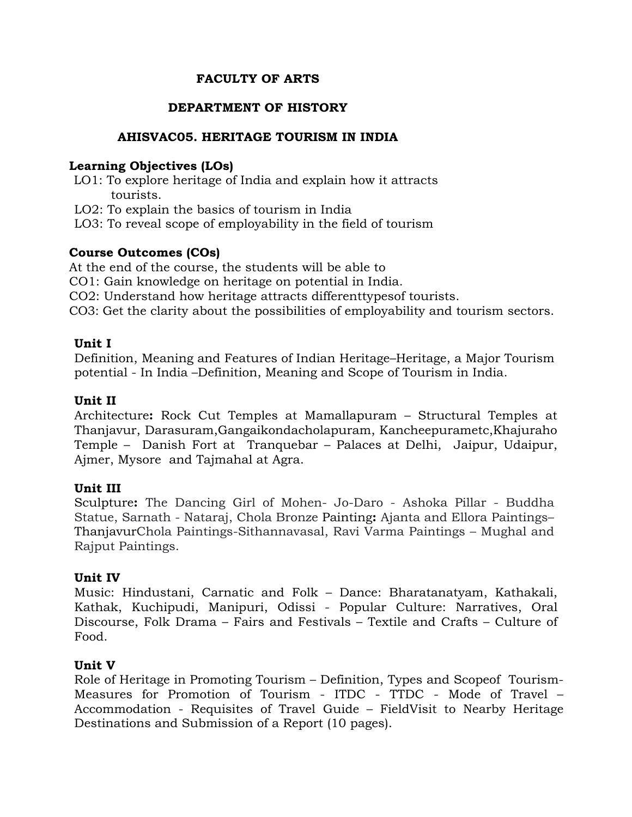# **FACULTY OF ARTS**

# **DEPARTMENT OF HISTORY**

## **AHISVAC05. HERITAGE TOURISM IN INDIA**

### **Learning Objectives (LOs)**

- LO1: To explore heritage of India and explain how it attracts tourists.
- LO2: To explain the basics of tourism in India
- LO3: To reveal scope of employability in the field of tourism

## **Course Outcomes (COs)**

At the end of the course, the students will be able to

- CO1: Gain knowledge on heritage on potential in India.
- CO2: Understand how heritage attracts differenttypesof tourists.
- CO3: Get the clarity about the possibilities of employability and tourism sectors.

### **Unit I**

Definition, Meaning and Features of Indian Heritage–Heritage, a Major Tourism potential - In India –Definition, Meaning and Scope of Tourism in India.

## **Unit II**

Architecture**:** Rock Cut Temples at Mamallapuram – Structural Temples at Thanjavur, Darasuram,Gangaikondacholapuram, Kancheepurametc,Khajuraho Temple – Danish Fort at Tranquebar – Palaces at Delhi, Jaipur, Udaipur, Ajmer, Mysore and Tajmahal at Agra.

### **Unit III**

Sculpture**:** The Dancing Girl of Mohen- Jo-Daro - Ashoka Pillar - Buddha Statue, Sarnath - Nataraj, Chola Bronze Painting**:** Ajanta and Ellora Paintings– ThanjavurChola Paintings-Sithannavasal, Ravi Varma Paintings – Mughal and Rajput Paintings.

### **Unit IV**

Music: Hindustani, Carnatic and Folk – Dance: Bharatanatyam, Kathakali, Kathak, Kuchipudi, Manipuri, Odissi - Popular Culture: Narratives, Oral Discourse, Folk Drama – Fairs and Festivals – Textile and Crafts – Culture of Food.

### **Unit V**

Role of Heritage in Promoting Tourism – Definition, Types and Scopeof Tourism-Measures for Promotion of Tourism - ITDC - TTDC - Mode of Travel – Accommodation - Requisites of Travel Guide – FieldVisit to Nearby Heritage Destinations and Submission of a Report (10 pages).